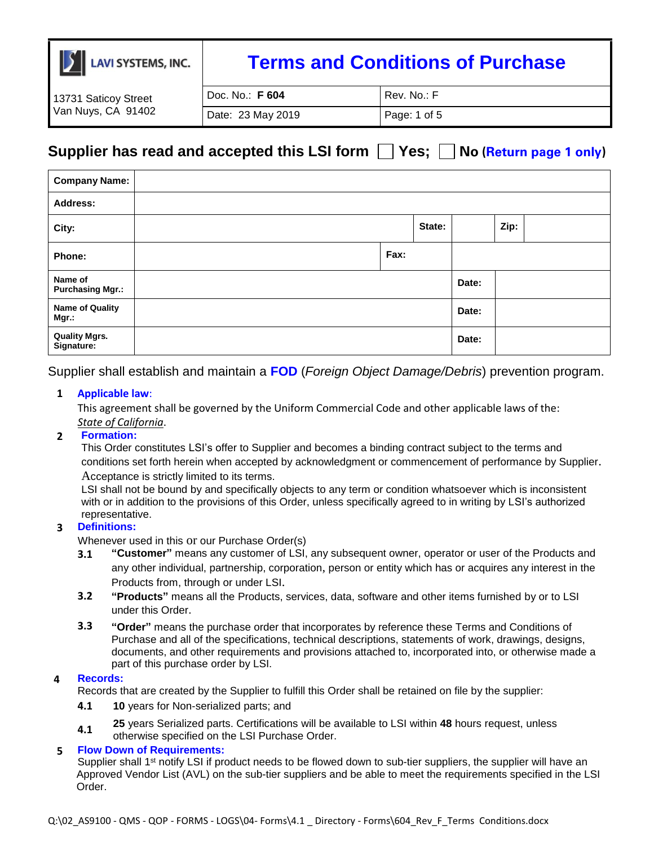

13731 Saticoy Street Van Nuys, CA 91402 Doc. No.: **F 604** Rev. No.: F Date: 23 May 2019 | Page: 1 of 5

**Supplier has read and accepted this LSI form**  $\Box$  **Yes;**  $\Box$  **No (Return page 1 only)** 

| <b>Company Name:</b>               |  |      |        |       |      |  |
|------------------------------------|--|------|--------|-------|------|--|
| <b>Address:</b>                    |  |      |        |       |      |  |
| City:                              |  |      | State: |       | Zip: |  |
| Phone:                             |  | Fax: |        |       |      |  |
| Name of<br><b>Purchasing Mgr.:</b> |  |      |        | Date: |      |  |
| <b>Name of Quality</b><br>Mgr.:    |  |      |        | Date: |      |  |
| <b>Quality Mgrs.</b><br>Signature: |  |      |        | Date: |      |  |

Supplier shall establish and maintain a **FOD** (*Foreign Object Damage/Debris*) prevention program.

## **1 Applicable law**:

This agreement shall be governed by the Uniform Commercial Code and other applicable laws of the: *State of California*.

**2 Formation:**

This Order constitutes LSI's offer to Supplier and becomes a binding contract subject to the terms and conditions set forth herein when accepted by acknowledgment or commencement of performance by Supplier. Acceptance is strictly limited to its terms.

LSI shall not be bound by and specifically objects to any term or condition whatsoever which is inconsistent with or in addition to the provisions of this Order, unless specifically agreed to in writing by LSI's authorized representative.

## **3 Definitions:**

Whenever used in this or our Purchase Order(s)

- **3.1 "Customer"** means any customer of LSI, any subsequent owner, operator or user of the Products and any other individual, partnership, corporation, person or entity which has or acquires any interest in the Products from, through or under LSI.
- **3.2 "Products"** means all the Products, services, data, software and other items furnished by or to LSI under this Order.
- **3.3 "Order"** means the purchase order that incorporates by reference these Terms and Conditions of Purchase and all of the specifications, technical descriptions, statements of work, drawings, designs, documents, and other requirements and provisions attached to, incorporated into, or otherwise made a part of this purchase order by LSI.

### **4 Records:**

Records that are created by the Supplier to fulfill this Order shall be retained on file by the supplier:

- **4.1 10** years for Non-serialized parts; and
- **4.1 <sup>25</sup>** years Serialized parts. Certifications will be available to LSI within **<sup>48</sup>** hours request, unless otherwise specified on the LSI Purchase Order.

### **5 Flow Down of Requirements:**

Supplier shall 1<sup>st</sup> notify LSI if product needs to be flowed down to sub-tier suppliers, the supplier will have an Approved Vendor List (AVL) on the sub-tier suppliers and be able to meet the requirements specified in the LSI Order.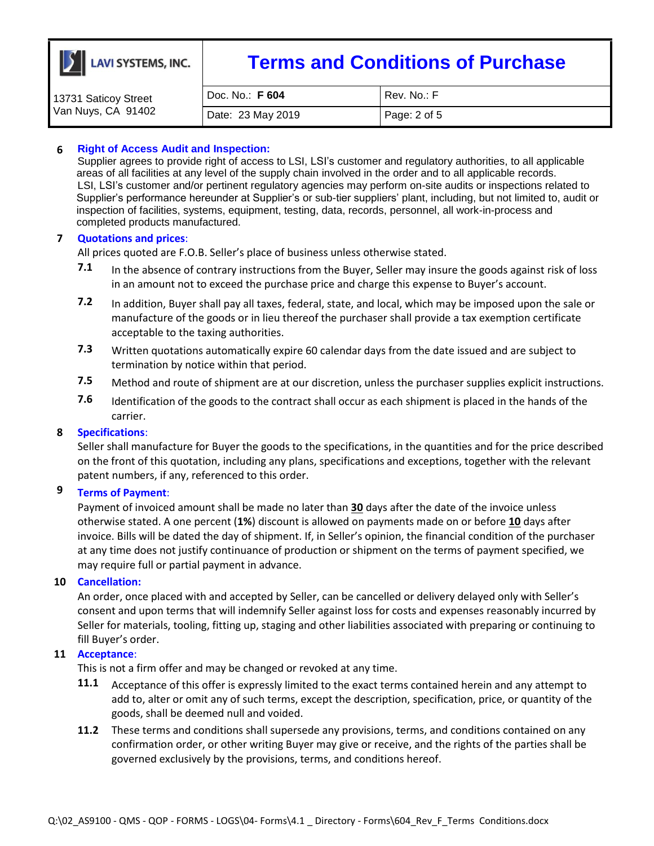

| 13731 Saticoy Street | Doc. No.: <b>F 604</b> | Rev. No.: F  |
|----------------------|------------------------|--------------|
| Van Nuys, CA 91402   | Date: 23 May 2019      | Page: 2 of 5 |

## **6 Right of Access Audit and Inspection:**

Supplier agrees to provide right of access to LSI, LSI's customer and regulatory authorities, to all applicable areas of all facilities at any level of the supply chain involved in the order and to all applicable records. LSI, LSI's customer and/or pertinent regulatory agencies may perform on-site audits or inspections related to Supplier's performance hereunder at Supplier's or sub-tier suppliers' plant, including, but not limited to, audit or inspection of facilities, systems, equipment, testing, data, records, personnel, all work-in-process and completed products manufactured.

### **7 Quotations and prices**:

All prices quoted are F.O.B. Seller's place of business unless otherwise stated.

- **7.1** In the absence of contrary instructions from the Buyer, Seller may insure the goods against risk of loss in an amount not to exceed the purchase price and charge this expense to Buyer's account.
- **7.2** In addition, Buyer shall pay all taxes, federal, state, and local, which may be imposed upon the sale or manufacture of the goods or in lieu thereof the purchaser shall provide a tax exemption certificate acceptable to the taxing authorities.
- **7.3** Written quotations automatically expire 60 calendar days from the date issued and are subject to termination by notice within that period.
- **7.5** Method and route of shipment are at our discretion, unless the purchaser supplies explicit instructions.
- **7.6** Identification of the goods to the contract shall occur as each shipment is placed in the hands of the carrier.

## **8 Specifications**:

Seller shall manufacture for Buyer the goods to the specifications, in the quantities and for the price described on the front of this quotation, including any plans, specifications and exceptions, together with the relevant patent numbers, if any, referenced to this order.

## **9 Terms of Payment**:

Payment of invoiced amount shall be made no later than **30** days after the date of the invoice unless otherwise stated. A one percent (**1%**) discount is allowed on payments made on or before **10** days after invoice. Bills will be dated the day of shipment. If, in Seller's opinion, the financial condition of the purchaser at any time does not justify continuance of production or shipment on the terms of payment specified, we may require full or partial payment in advance.

## **10 Cancellation:**

An order, once placed with and accepted by Seller, can be cancelled or delivery delayed only with Seller's consent and upon terms that will indemnify Seller against loss for costs and expenses reasonably incurred by Seller for materials, tooling, fitting up, staging and other liabilities associated with preparing or continuing to fill Buyer's order.

### **11 Acceptance**:

This is not a firm offer and may be changed or revoked at any time.

- **11.1** Acceptance of this offer is expressly limited to the exact terms contained herein and any attempt to add to, alter or omit any of such terms, except the description, specification, price, or quantity of the goods, shall be deemed null and voided.
- **11.2** These terms and conditions shall supersede any provisions, terms, and conditions contained on any confirmation order, or other writing Buyer may give or receive, and the rights of the parties shall be governed exclusively by the provisions, terms, and conditions hereof.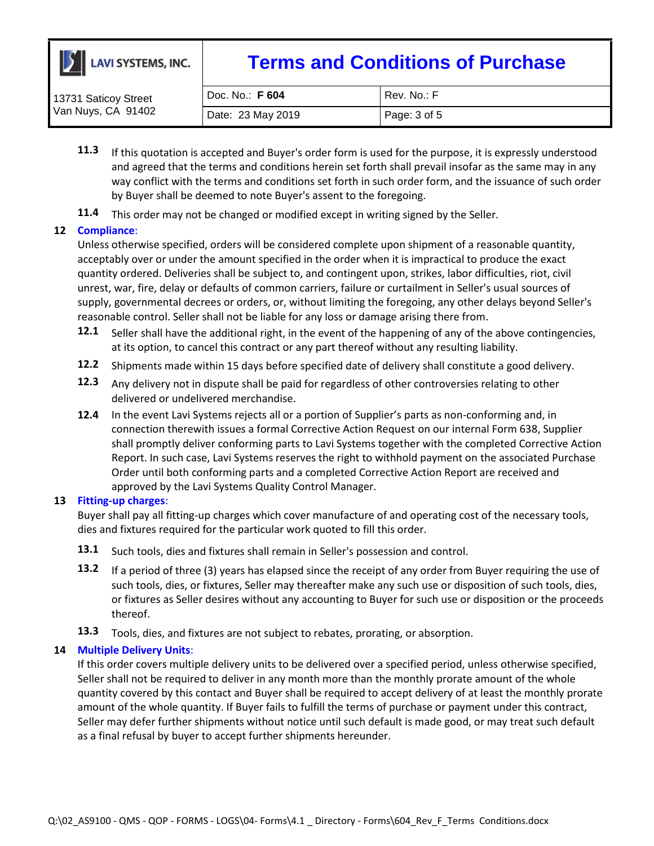

| 13731 Saticoy Street | Doc. No.: <b>F 604</b> | Rev. No.: F  |
|----------------------|------------------------|--------------|
| Van Nuys, CA 91402   | Date: 23 May 2019      | Page: 3 of 5 |

- **11.3** If this quotation is accepted and Buyer's order form is used for the purpose, it is expressly understood and agreed that the terms and conditions herein set forth shall prevail insofar as the same may in any way conflict with the terms and conditions set forth in such order form, and the issuance of such order by Buyer shall be deemed to note Buyer's assent to the foregoing.
- **11.4** This order may not be changed or modified except in writing signed by the Seller.

## **12 Compliance**:

Unless otherwise specified, orders will be considered complete upon shipment of a reasonable quantity, acceptably over or under the amount specified in the order when it is impractical to produce the exact quantity ordered. Deliveries shall be subject to, and contingent upon, strikes, labor difficulties, riot, civil unrest, war, fire, delay or defaults of common carriers, failure or curtailment in Seller's usual sources of supply, governmental decrees or orders, or, without limiting the foregoing, any other delays beyond Seller's reasonable control. Seller shall not be liable for any loss or damage arising there from.

- **12.1** Seller shall have the additional right, in the event of the happening of any of the above contingencies, at its option, to cancel this contract or any part thereof without any resulting liability.
- **12.2** Shipments made within 15 days before specified date of delivery shall constitute a good delivery.
- **12.3** Any delivery not in dispute shall be paid for regardless of other controversies relating to other delivered or undelivered merchandise.
- **12.4** In the event Lavi Systems rejects all or a portion of Supplier's parts as non-conforming and, in connection therewith issues a formal Corrective Action Request on our internal Form 638, Supplier shall promptly deliver conforming parts to Lavi Systems together with the completed Corrective Action Report. In such case, Lavi Systems reserves the right to withhold payment on the associated Purchase Order until both conforming parts and a completed Corrective Action Report are received and approved by the Lavi Systems Quality Control Manager.

## **13 Fitting-up charges**:

Buyer shall pay all fitting-up charges which cover manufacture of and operating cost of the necessary tools, dies and fixtures required for the particular work quoted to fill this order.

- **13.1** Such tools, dies and fixtures shall remain in Seller's possession and control.
- **13.2** If a period of three (3) years has elapsed since the receipt of any order from Buyer requiring the use of such tools, dies, or fixtures, Seller may thereafter make any such use or disposition of such tools, dies, or fixtures as Seller desires without any accounting to Buyer for such use or disposition or the proceeds thereof.
- **13.3** Tools, dies, and fixtures are not subject to rebates, prorating, or absorption.

## **14 Multiple Delivery Units**:

If this order covers multiple delivery units to be delivered over a specified period, unless otherwise specified, Seller shall not be required to deliver in any month more than the monthly prorate amount of the whole quantity covered by this contact and Buyer shall be required to accept delivery of at least the monthly prorate amount of the whole quantity. If Buyer fails to fulfill the terms of purchase or payment under this contract, Seller may defer further shipments without notice until such default is made good, or may treat such default as a final refusal by buyer to accept further shipments hereunder.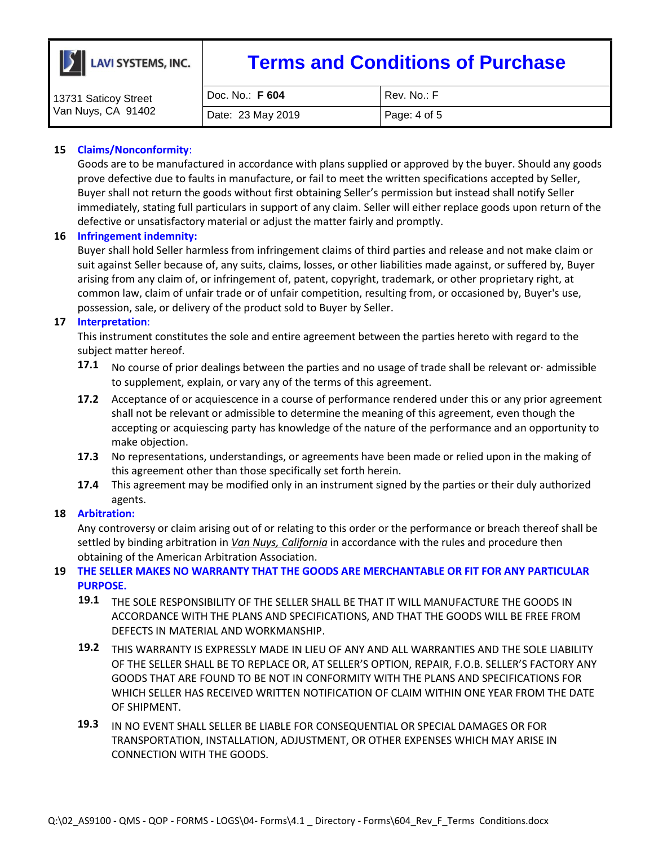

| 13731 Saticoy Street | Doc. No.: <b>F 604</b> | Rev. No.: F  |
|----------------------|------------------------|--------------|
| Van Nuys, CA 91402   | Date: 23 May 2019      | Page: 4 of 5 |

## **15 Claims/Nonconformity**:

Goods are to be manufactured in accordance with plans supplied or approved by the buyer. Should any goods prove defective due to faults in manufacture, or fail to meet the written specifications accepted by Seller, Buyer shall not return the goods without first obtaining Seller's permission but instead shall notify Seller immediately, stating full particulars in support of any claim. Seller will either replace goods upon return of the defective or unsatisfactory material or adjust the matter fairly and promptly.

### **16 Infringement indemnity:**

Buyer shall hold Seller harmless from infringement claims of third parties and release and not make claim or suit against Seller because of, any suits, claims, losses, or other liabilities made against, or suffered by, Buyer arising from any claim of, or infringement of, patent, copyright, trademark, or other proprietary right, at common law, claim of unfair trade or of unfair competition, resulting from, or occasioned by, Buyer's use, possession, sale, or delivery of the product sold to Buyer by Seller.

### **17 Interpretation**:

This instrument constitutes the sole and entire agreement between the parties hereto with regard to the subject matter hereof.

- **17.1** No course of prior dealings between the parties and no usage of trade shall be relevant or· admissible to supplement, explain, or vary any of the terms of this agreement.
- **17.2** Acceptance of or acquiescence in a course of performance rendered under this or any prior agreement shall not be relevant or admissible to determine the meaning of this agreement, even though the accepting or acquiescing party has knowledge of the nature of the performance and an opportunity to make objection.
- **17.3** No representations, understandings, or agreements have been made or relied upon in the making of this agreement other than those specifically set forth herein.
- **17.4** This agreement may be modified only in an instrument signed by the parties or their duly authorized agents.

### **18 Arbitration:**

Any controversy or claim arising out of or relating to this order or the performance or breach thereof shall be settled by binding arbitration in *Van Nuys, California* in accordance with the rules and procedure then obtaining of the American Arbitration Association.

## **19 THE SELLER MAKES NO WARRANTY THAT THE GOODS ARE MERCHANTABLE OR FIT FOR ANY PARTICULAR PURPOSE.**

- **19.1** THE SOLE RESPONSIBILITY OF THE SELLER SHALL BE THAT IT WILL MANUFACTURE THE GOODS IN ACCORDANCE WITH THE PLANS AND SPECIFICATIONS, AND THAT THE GOODS WILL BE FREE FROM DEFECTS IN MATERIAL AND WORKMANSHIP.
- **19.2** THIS WARRANTY IS EXPRESSLY MADE IN LIEU OF ANY AND ALL WARRANTIES AND THE SOLE LIABILITY OF THE SELLER SHALL BE TO REPLACE OR, AT SELLER'S OPTION, REPAIR, F.O.B. SELLER'S FACTORY ANY GOODS THAT ARE FOUND TO BE NOT IN CONFORMITY WITH THE PLANS AND SPECIFICATIONS FOR WHICH SELLER HAS RECEIVED WRITTEN NOTIFICATION OF CLAIM WITHIN ONE YEAR FROM THE DATE OF SHIPMENT.
- **19.3** IN NO EVENT SHALL SELLER BE LIABLE FOR CONSEQUENTIAL OR SPECIAL DAMAGES OR FOR TRANSPORTATION, INSTALLATION, ADJUSTMENT, OR OTHER EXPENSES WHICH MAY ARISE IN CONNECTION WITH THE GOODS.